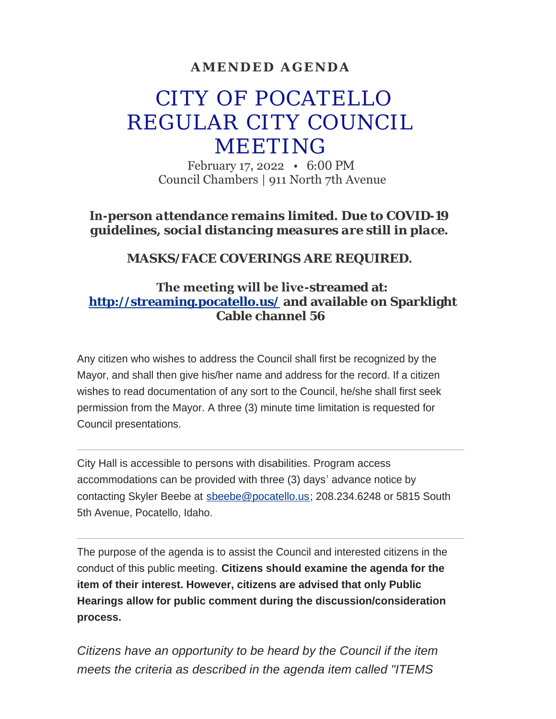### **AMENDED AGENDA**

# CITY OF POCATELLO REGULAR CITY COUNCIL MEETING

February 17, 2022 • 6:00 PM Council Chambers | 911 North 7th Avenue

*In-person attendance remains limited. Due to COVID-19 guidelines, social distancing measures are still in place.*

*MASKS/FACE COVERINGS ARE REQUIRED.*

### **The meeting will be live-streamed at: <http://streaming.pocatello.us/> and available on Sparklight Cable channel 56**

Any citizen who wishes to address the Council shall first be recognized by the Mayor, and shall then give his/her name and address for the record. If a citizen wishes to read documentation of any sort to the Council, he/she shall first seek permission from the Mayor. A three (3) minute time limitation is requested for Council presentations.

City Hall is accessible to persons with disabilities. Program access accommodations can be provided with three (3) days' advance notice by contacting Skyler Beebe at [sbeebe@pocatello.us;](mailto:sbeebe@pocatello.us) 208.234.6248 or 5815 South 5th Avenue, Pocatello, Idaho.

The purpose of the agenda is to assist the Council and interested citizens in the conduct of this public meeting. **Citizens should examine the agenda for the item of their interest. However, citizens are advised that only Public Hearings allow for public comment during the discussion/consideration process.**

*Citizens have an opportunity to be heard by the Council if the item meets the criteria as described in the agenda item called "ITEMS*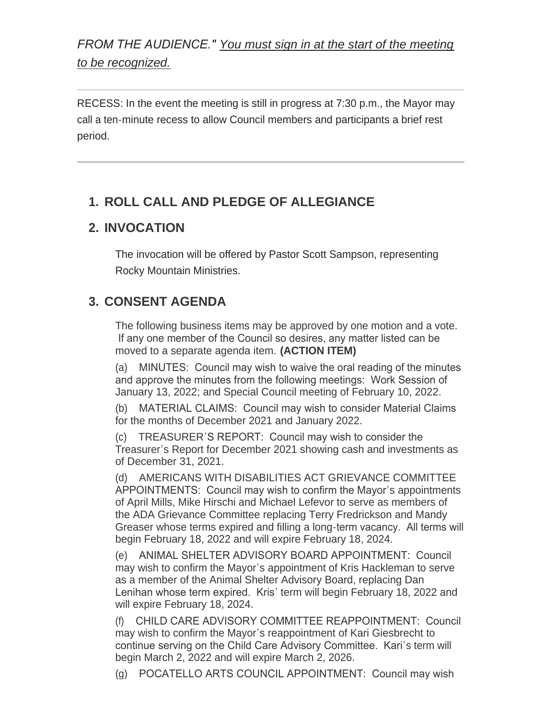*FROM THE AUDIENCE." You must sign in at the start of the meeting to be recognized.*

RECESS: In the event the meeting is still in progress at 7:30 p.m., the Mayor may call a ten-minute recess to allow Council members and participants a brief rest period.

# **ROLL CALL AND PLEDGE OF ALLEGIANCE 1.**

### **INVOCATION 2.**

The invocation will be offered by Pastor Scott Sampson, representing Rocky Mountain Ministries.

# **CONSENT AGENDA 3.**

The following business items may be approved by one motion and a vote. If any one member of the Council so desires, any matter listed can be moved to a separate agenda item. **(ACTION ITEM)**

(a) MINUTES: Council may wish to waive the oral reading of the minutes and approve the minutes from the following meetings: Work Session of January 13, 2022; and Special Council meeting of February 10, 2022.

(b) MATERIAL CLAIMS: Council may wish to consider Material Claims for the months of December 2021 and January 2022.

TREASURER'S REPORT: Council may wish to consider the Treasurer's Report for December 2021 showing cash and investments as of December 31, 2021.

(d) AMERICANS WITH DISABILITIES ACT GRIEVANCE COMMITTEE APPOINTMENTS: Council may wish to confirm the Mayor's appointments of April Mills, Mike Hirschi and Michael Lefevor to serve as members of the ADA Grievance Committee replacing Terry Fredrickson and Mandy Greaser whose terms expired and filling a long-term vacancy. All terms will begin February 18, 2022 and will expire February 18, 2024.

(e) ANIMAL SHELTER ADVISORY BOARD APPOINTMENT: Council may wish to confirm the Mayor's appointment of Kris Hackleman to serve as a member of the Animal Shelter Advisory Board, replacing Dan Lenihan whose term expired. Kris' term will begin February 18, 2022 and will expire February 18, 2024.

(f) CHILD CARE ADVISORY COMMITTEE REAPPOINTMENT: Council may wish to confirm the Mayor's reappointment of Kari Giesbrecht to continue serving on the Child Care Advisory Committee. Kari's term will begin March 2, 2022 and will expire March 2, 2026.

(g) POCATELLO ARTS COUNCIL APPOINTMENT: Council may wish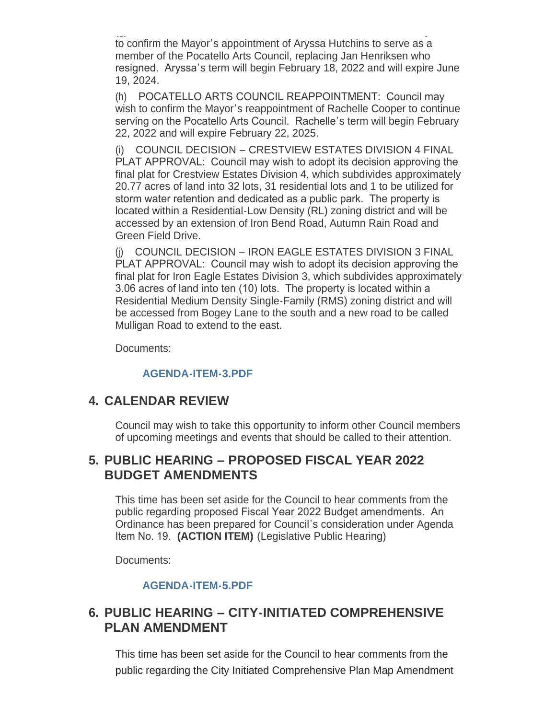$\mathcal{L}$ to confirm the Mayor's appointment of Aryssa Hutchins to serve as a member of the Pocatello Arts Council, replacing Jan Henriksen who resigned. Aryssa's term will begin February 18, 2022 and will expire June 19, 2024.

(h) POCATELLO ARTS COUNCIL REAPPOINTMENT: Council may wish to confirm the Mayor's reappointment of Rachelle Cooper to continue serving on the Pocatello Arts Council. Rachelle's term will begin February 22, 2022 and will expire February 22, 2025.

(i) COUNCIL DECISION – CRESTVIEW ESTATES DIVISION 4 FINAL PLAT APPROVAL: Council may wish to adopt its decision approving the final plat for Crestview Estates Division 4, which subdivides approximately 20.77 acres of land into 32 lots, 31 residential lots and 1 to be utilized for storm water retention and dedicated as a public park. The property is located within a Residential-Low Density (RL) zoning district and will be accessed by an extension of Iron Bend Road, Autumn Rain Road and Green Field Drive.

(j) COUNCIL DECISION – IRON EAGLE ESTATES DIVISION 3 FINAL PLAT APPROVAL: Council may wish to adopt its decision approving the final plat for Iron Eagle Estates Division 3, which subdivides approximately 3.06 acres of land into ten (10) lots. The property is located within a Residential Medium Density Single-Family (RMS) zoning district and will be accessed from Bogey Lane to the south and a new road to be called Mulligan Road to extend to the east.

Documents:

#### **[AGENDA-ITEM-3.PDF](https://www.pocatello.us/AgendaCenter/ViewFile/Item/3221?fileID=10496)**

### **CALENDAR REVIEW 4.**

Council may wish to take this opportunity to inform other Council members of upcoming meetings and events that should be called to their attention.

### **PUBLIC HEARING – PROPOSED FISCAL YEAR 2022 5. BUDGET AMENDMENTS**

This time has been set aside for the Council to hear comments from the public regarding proposed Fiscal Year 2022 Budget amendments. An Ordinance has been prepared for Council's consideration under Agenda Item No. 19. **(ACTION ITEM)** (Legislative Public Hearing)

Documents:

#### **[AGENDA-ITEM-5.PDF](https://www.pocatello.us/AgendaCenter/ViewFile/Item/3222?fileID=10481)**

### **PUBLIC HEARING – CITY-INITIATED COMPREHENSIVE 6. PLAN AMENDMENT**

This time has been set aside for the Council to hear comments from the public regarding the City Initiated Comprehensive Plan Map Amendment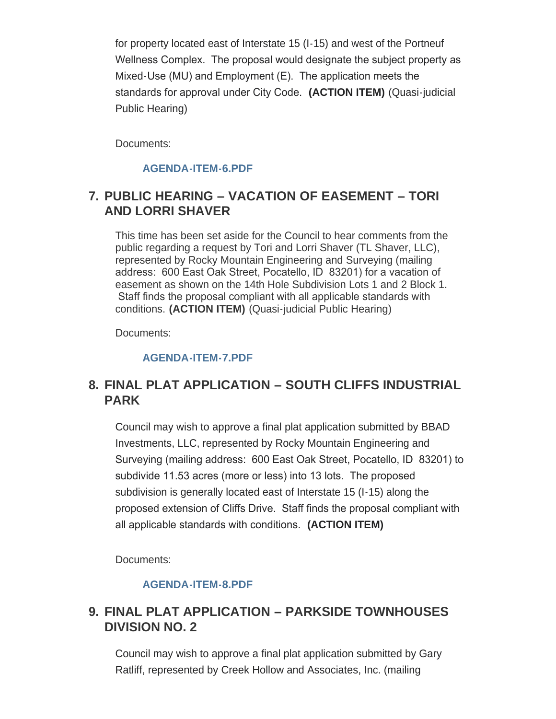for property located east of Interstate 15 (I-15) and west of the Portneuf Wellness Complex. The proposal would designate the subject property as Mixed-Use (MU) and Employment (E). The application meets the standards for approval under City Code. **(ACTION ITEM)** (Quasi-judicial Public Hearing)

Documents:

#### **[AGENDA-ITEM-6.PDF](https://www.pocatello.us/AgendaCenter/ViewFile/Item/3223?fileID=10482)**

### **PUBLIC HEARING – VACATION OF EASEMENT – TORI 7. AND LORRI SHAVER**

This time has been set aside for the Council to hear comments from the public regarding a request by Tori and Lorri Shaver (TL Shaver, LLC), represented by Rocky Mountain Engineering and Surveying (mailing address: 600 East Oak Street, Pocatello, ID 83201) for a vacation of easement as shown on the 14th Hole Subdivision Lots 1 and 2 Block 1. Staff finds the proposal compliant with all applicable standards with conditions. **(ACTION ITEM)** (Quasi-judicial Public Hearing)

Documents:

#### **[AGENDA-ITEM-7.PDF](https://www.pocatello.us/AgendaCenter/ViewFile/Item/3224?fileID=10483)**

### **FINAL PLAT APPLICATION – SOUTH CLIFFS INDUSTRIAL 8. PARK**

Council may wish to approve a final plat application submitted by BBAD Investments, LLC, represented by Rocky Mountain Engineering and Surveying (mailing address: 600 East Oak Street, Pocatello, ID 83201) to subdivide 11.53 acres (more or less) into 13 lots. The proposed subdivision is generally located east of Interstate 15 (I-15) along the proposed extension of Cliffs Drive. Staff finds the proposal compliant with all applicable standards with conditions. **(ACTION ITEM)**

Documents:

#### **[AGENDA-ITEM-8.PDF](https://www.pocatello.us/AgendaCenter/ViewFile/Item/3225?fileID=10484)**

### **FINAL PLAT APPLICATION – PARKSIDE TOWNHOUSES 9. DIVISION NO. 2**

Council may wish to approve a final plat application submitted by Gary Ratliff, represented by Creek Hollow and Associates, Inc. (mailing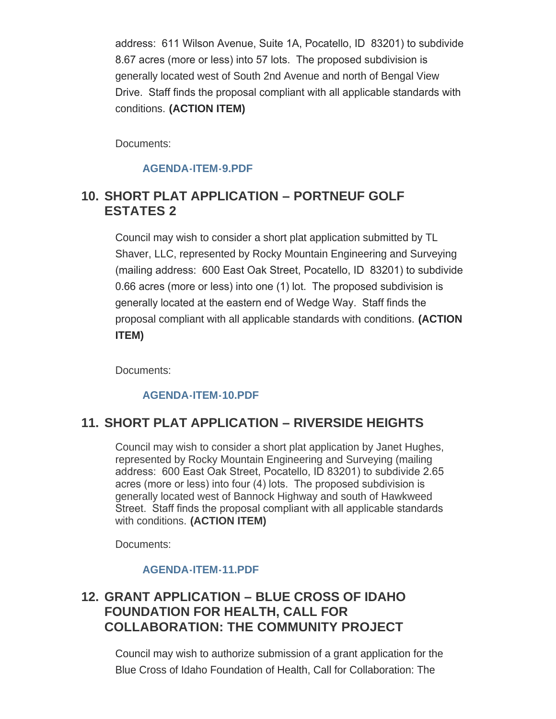address: 611 Wilson Avenue, Suite 1A, Pocatello, ID 83201) to subdivide 8.67 acres (more or less) into 57 lots. The proposed subdivision is generally located west of South 2nd Avenue and north of Bengal View Drive. Staff finds the proposal compliant with all applicable standards with conditions. **(ACTION ITEM)**

Documents:

#### **[AGENDA-ITEM-9.PDF](https://www.pocatello.us/AgendaCenter/ViewFile/Item/3226?fileID=10485)**

### **SHORT PLAT APPLICATION – PORTNEUF GOLF 10. ESTATES 2**

Council may wish to consider a short plat application submitted by TL Shaver, LLC, represented by Rocky Mountain Engineering and Surveying (mailing address: 600 East Oak Street, Pocatello, ID 83201) to subdivide 0.66 acres (more or less) into one (1) lot. The proposed subdivision is generally located at the eastern end of Wedge Way. Staff finds the proposal compliant with all applicable standards with conditions. **(ACTION ITEM)**

Documents:

#### **[AGENDA-ITEM-10.PDF](https://www.pocatello.us/AgendaCenter/ViewFile/Item/3227?fileID=10486)**

### **SHORT PLAT APPLICATION – RIVERSIDE HEIGHTS 11.**

Council may wish to consider a short plat application by Janet Hughes, represented by Rocky Mountain Engineering and Surveying (mailing address: 600 East Oak Street, Pocatello, ID 83201) to subdivide 2.65 acres (more or less) into four (4) lots. The proposed subdivision is generally located west of Bannock Highway and south of Hawkweed Street. Staff finds the proposal compliant with all applicable standards with conditions. **(ACTION ITEM)**

Documents:

#### **[AGENDA-ITEM-11.PDF](https://www.pocatello.us/AgendaCenter/ViewFile/Item/3228?fileID=10487)**

### **GRANT APPLICATION – BLUE CROSS OF IDAHO 12. FOUNDATION FOR HEALTH, CALL FOR COLLABORATION: THE COMMUNITY PROJECT**

Council may wish to authorize submission of a grant application for the Blue Cross of Idaho Foundation of Health, Call for Collaboration: The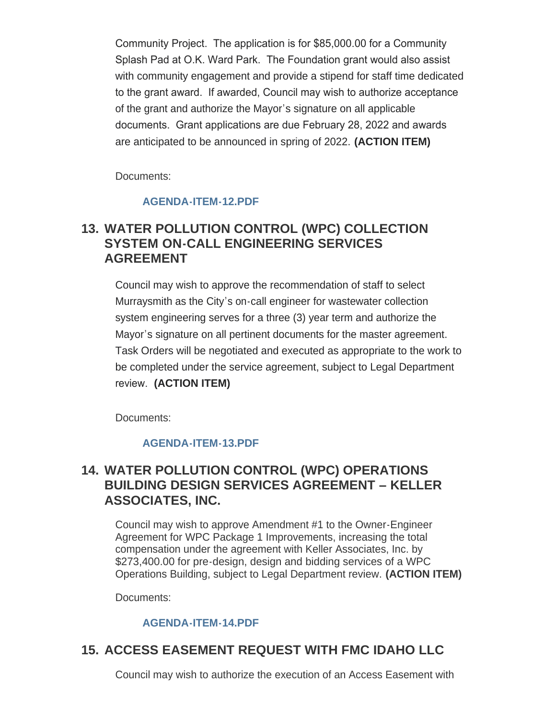Community Project. The application is for \$85,000.00 for a Community Splash Pad at O.K. Ward Park. The Foundation grant would also assist with community engagement and provide a stipend for staff time dedicated to the grant award. If awarded, Council may wish to authorize acceptance of the grant and authorize the Mayor's signature on all applicable documents. Grant applications are due February 28, 2022 and awards are anticipated to be announced in spring of 2022. **(ACTION ITEM)**

Documents:

#### **[AGENDA-ITEM-12.PDF](https://www.pocatello.us/AgendaCenter/ViewFile/Item/3229?fileID=10488)**

### **WATER POLLUTION CONTROL (WPC) COLLECTION 13. SYSTEM ON-CALL ENGINEERING SERVICES AGREEMENT**

Council may wish to approve the recommendation of staff to select Murraysmith as the City's on-call engineer for wastewater collection system engineering serves for a three (3) year term and authorize the Mayor's signature on all pertinent documents for the master agreement. Task Orders will be negotiated and executed as appropriate to the work to be completed under the service agreement, subject to Legal Department review. **(ACTION ITEM)**

Documents:

#### **[AGENDA-ITEM-13.PDF](https://www.pocatello.us/AgendaCenter/ViewFile/Item/3230?fileID=10489)**

### **WATER POLLUTION CONTROL (WPC) OPERATIONS 14. BUILDING DESIGN SERVICES AGREEMENT – KELLER ASSOCIATES, INC.**

Council may wish to approve Amendment #1 to the Owner-Engineer Agreement for WPC Package 1 Improvements, increasing the total compensation under the agreement with Keller Associates, Inc. by \$273,400.00 for pre-design, design and bidding services of a WPC Operations Building, subject to Legal Department review. **(ACTION ITEM)**

Documents:

#### **[AGENDA-ITEM-14.PDF](https://www.pocatello.us/AgendaCenter/ViewFile/Item/3231?fileID=10490)**

### **ACCESS EASEMENT REQUEST WITH FMC IDAHO LLC 15.**

Council may wish to authorize the execution of an Access Easement with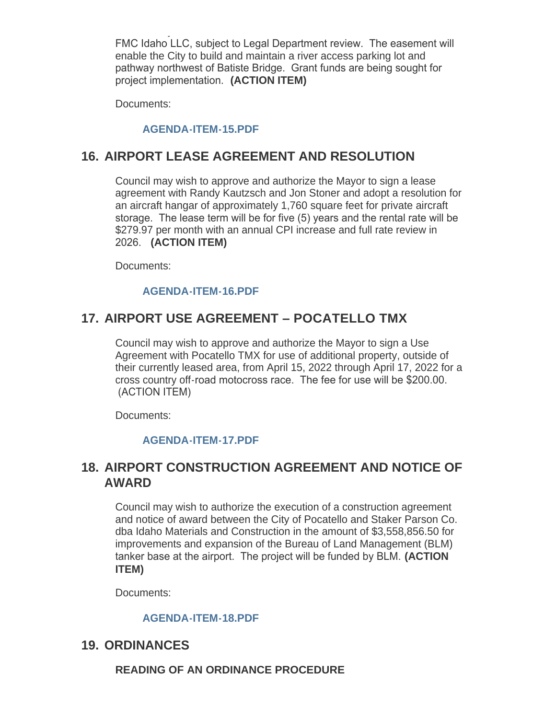Council may wish to authorize the execution of an Access Easement with FMC Idaho LLC, subject to Legal Department review. The easement will enable the City to build and maintain a river access parking lot and pathway northwest of Batiste Bridge. Grant funds are being sought for project implementation. **(ACTION ITEM)**

Documents:

#### **[AGENDA-ITEM-15.PDF](https://www.pocatello.us/AgendaCenter/ViewFile/Item/3232?fileID=10491)**

### **AIRPORT LEASE AGREEMENT AND RESOLUTION 16.**

Council may wish to approve and authorize the Mayor to sign a lease agreement with Randy Kautzsch and Jon Stoner and adopt a resolution for an aircraft hangar of approximately 1,760 square feet for private aircraft storage. The lease term will be for five (5) years and the rental rate will be \$279.97 per month with an annual CPI increase and full rate review in 2026. **(ACTION ITEM)**

Documents:

#### **[AGENDA-ITEM-16.PDF](https://www.pocatello.us/AgendaCenter/ViewFile/Item/3233?fileID=10492)**

### **AIRPORT USE AGREEMENT – POCATELLO TMX 17.**

Council may wish to approve and authorize the Mayor to sign a Use Agreement with Pocatello TMX for use of additional property, outside of their currently leased area, from April 15, 2022 through April 17, 2022 for a cross country off-road motocross race. The fee for use will be \$200.00. (ACTION ITEM)

Documents:

#### **[AGENDA-ITEM-17.PDF](https://www.pocatello.us/AgendaCenter/ViewFile/Item/3234?fileID=10493)**

### **AIRPORT CONSTRUCTION AGREEMENT AND NOTICE OF 18. AWARD**

Council may wish to authorize the execution of a construction agreement and notice of award between the City of Pocatello and Staker Parson Co. dba Idaho Materials and Construction in the amount of \$3,558,856.50 for improvements and expansion of the Bureau of Land Management (BLM) tanker base at the airport. The project will be funded by BLM. **(ACTION ITEM)**

Documents:

#### **[AGENDA-ITEM-18.PDF](https://www.pocatello.us/AgendaCenter/ViewFile/Item/3235?fileID=10494)**

### **19. ORDINANCES**

**READING OF AN ORDINANCE PROCEDURE**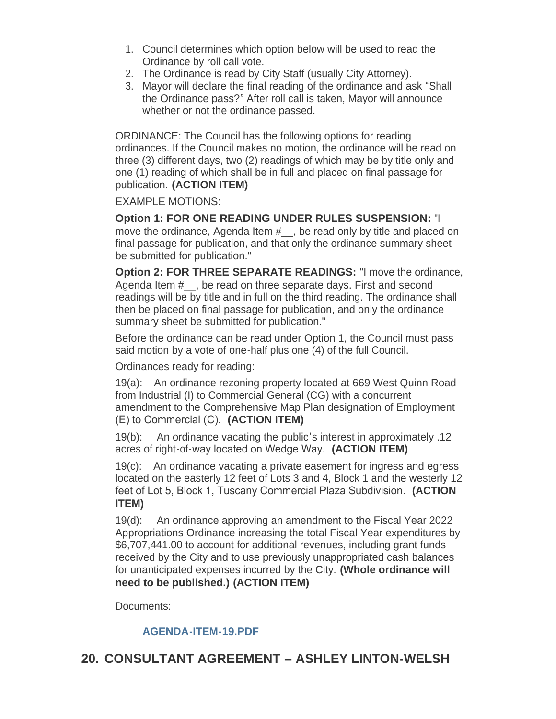- 1. Council determines which option below will be used to read the Ordinance by roll call vote.
- 2. The Ordinance is read by City Staff (usually City Attorney).
- 3. Mayor will declare the final reading of the ordinance and ask "Shall the Ordinance pass?" After roll call is taken, Mayor will announce whether or not the ordinance passed.

ORDINANCE: The Council has the following options for reading ordinances. If the Council makes no motion, the ordinance will be read on three (3) different days, two (2) readings of which may be by title only and one (1) reading of which shall be in full and placed on final passage for publication. **(ACTION ITEM)**

EXAMPLE MOTIONS:

**Option 1: FOR ONE READING UNDER RULES SUSPENSION:** "I move the ordinance, Agenda Item #, be read only by title and placed on final passage for publication, and that only the ordinance summary sheet be submitted for publication."

**Option 2: FOR THREE SEPARATE READINGS:** "I move the ordinance, Agenda Item #, be read on three separate days. First and second readings will be by title and in full on the third reading. The ordinance shall then be placed on final passage for publication, and only the ordinance summary sheet be submitted for publication."

Before the ordinance can be read under Option 1, the Council must pass said motion by a vote of one-half plus one (4) of the full Council.

Ordinances ready for reading:

19(a): An ordinance rezoning property located at 669 West Quinn Road from Industrial (I) to Commercial General (CG) with a concurrent amendment to the Comprehensive Map Plan designation of Employment (E) to Commercial (C). **(ACTION ITEM)**

19(b): An ordinance vacating the public's interest in approximately .12 acres of right-of-way located on Wedge Way. **(ACTION ITEM)**

19(c): An ordinance vacating a private easement for ingress and egress located on the easterly 12 feet of Lots 3 and 4, Block 1 and the westerly 12 feet of Lot 5, Block 1, Tuscany Commercial Plaza Subdivision. **(ACTION ITEM)**

19(d): An ordinance approving an amendment to the Fiscal Year 2022 Appropriations Ordinance increasing the total Fiscal Year expenditures by \$6,707,441.00 to account for additional revenues, including grant funds received by the City and to use previously unappropriated cash balances for unanticipated expenses incurred by the City. **(Whole ordinance will need to be published.) (ACTION ITEM)**

Documents:

#### **[AGENDA-ITEM-19.PDF](https://www.pocatello.us/AgendaCenter/ViewFile/Item/3236?fileID=10495)**

### **CONSULTANT AGREEMENT – ASHLEY LINTON-WELSH 20.**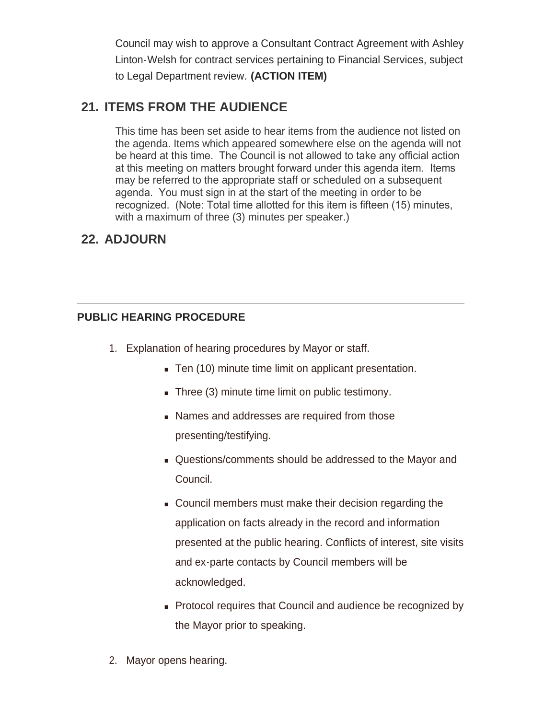Council may wish to approve a Consultant Contract Agreement with Ashley Linton-Welsh for contract services pertaining to Financial Services, subject to Legal Department review. **(ACTION ITEM)**

### **ITEMS FROM THE AUDIENCE 21.**

This time has been set aside to hear items from the audience not listed on the agenda. Items which appeared somewhere else on the agenda will not be heard at this time. The Council is not allowed to take any official action at this meeting on matters brought forward under this agenda item. Items may be referred to the appropriate staff or scheduled on a subsequent agenda. You must sign in at the start of the meeting in order to be recognized. (Note: Total time allotted for this item is fifteen (15) minutes, with a maximum of three (3) minutes per speaker.)

# **ADJOURN 22.**

#### **PUBLIC HEARING PROCEDURE**

- 1. Explanation of hearing procedures by Mayor or staff.
	- Ten (10) minute time limit on applicant presentation.
	- $\blacksquare$  Three (3) minute time limit on public testimony.
	- **Names and addresses are required from those** presenting/testifying.
	- <sup>n</sup> Questions/comments should be addressed to the Mayor and Council.
	- **Council members must make their decision regarding the** application on facts already in the record and information presented at the public hearing. Conflicts of interest, site visits and ex-parte contacts by Council members will be acknowledged.
	- Protocol requires that Council and audience be recognized by the Mayor prior to speaking.
- 2. Mayor opens hearing.